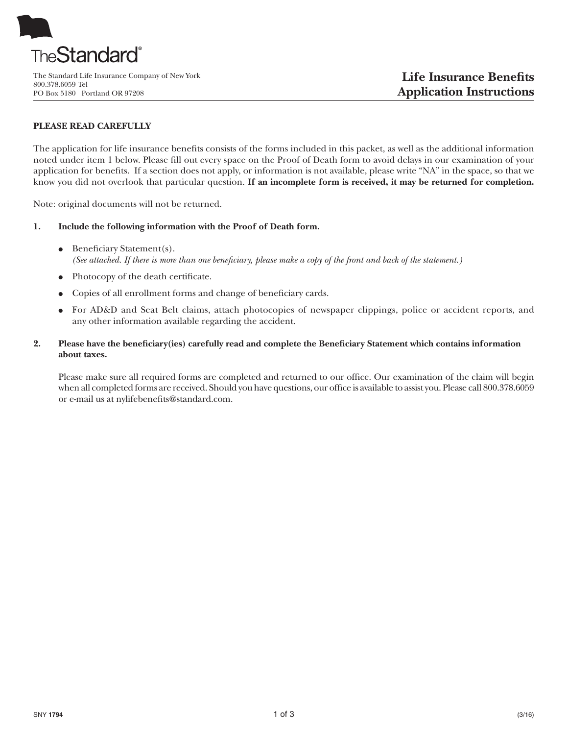

800.378.6059 Tel PO Box 5180 Portland OR 97208

## **PLEASE READ CAREFULLY**

The application for life insurance benefits consists of the forms included in this packet, as well as the additional information noted under item 1 below. Please fill out every space on the Proof of Death form to avoid delays in our examination of your application for benefits. If a section does not apply, or information is not available, please write "NA" in the space, so that we know you did not overlook that particular question. **If an incomplete form is received, it may be returned for completion.**

Note: original documents will not be returned.

- **1. Include the following information with the Proof of Death form.**
	- Beneficiary Statement(s). (See attached. If there is more than one beneficiary, please make a copy of the front and back of the statement.)
	- Photocopy of the death certificate.
	- Copies of all enrollment forms and change of beneficiary cards.
	- For AD&D and Seat Belt claims, attach photocopies of newspaper clippings, police or accident reports, and any other information available regarding the accident.
- **2. Please have the beneficiary(ies) carefully read and complete the Beneficiary Statement which contains information about taxes.**

Please make sure all required forms are completed and returned to our office. Our examination of the claim will begin when all completed forms are received. Should you have questions, our office is available to assist you. Please call 800.378.6059 or e-mail us at nylifebenefits@standard.com.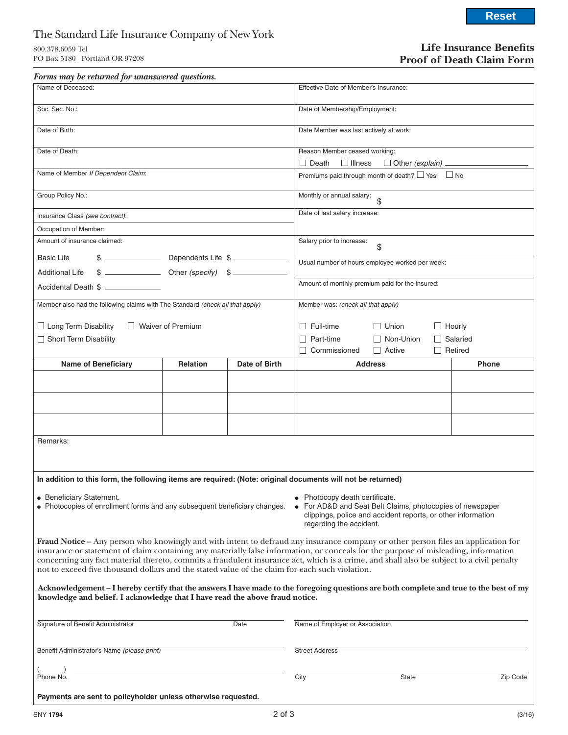# The Standard Life Insurance Company of New York

800.378.6059 Tel PO Box 5180 Portland OR 97208

## **Life Insurance Benefits Proof of Death Claim Form**

| Forms may be returned for unanswered questions.                                                                                                                                                                                                                                                                                                                                                                                                                                                                               |                                                                                                                                                                                      |               |                                                            |                |                                   |               |                                   |          |
|-------------------------------------------------------------------------------------------------------------------------------------------------------------------------------------------------------------------------------------------------------------------------------------------------------------------------------------------------------------------------------------------------------------------------------------------------------------------------------------------------------------------------------|--------------------------------------------------------------------------------------------------------------------------------------------------------------------------------------|---------------|------------------------------------------------------------|----------------|-----------------------------------|---------------|-----------------------------------|----------|
| Name of Deceased:                                                                                                                                                                                                                                                                                                                                                                                                                                                                                                             | Effective Date of Member's Insurance:                                                                                                                                                |               |                                                            |                |                                   |               |                                   |          |
| Soc. Sec. No.:                                                                                                                                                                                                                                                                                                                                                                                                                                                                                                                | Date of Membership/Employment:                                                                                                                                                       |               |                                                            |                |                                   |               |                                   |          |
| Date of Birth:                                                                                                                                                                                                                                                                                                                                                                                                                                                                                                                | Date Member was last actively at work:                                                                                                                                               |               |                                                            |                |                                   |               |                                   |          |
| Date of Death:                                                                                                                                                                                                                                                                                                                                                                                                                                                                                                                | Reason Member ceased working:<br>$\Box$ Death<br>$\Box$ Illness<br>$\Box$ Other (explain) $\Box$                                                                                     |               |                                                            |                |                                   |               |                                   |          |
| Name of Member If Dependent Claim:                                                                                                                                                                                                                                                                                                                                                                                                                                                                                            |                                                                                                                                                                                      |               | Premiums paid through month of death? $\Box$ Yes $\Box$ No |                |                                   |               |                                   |          |
| Group Policy No.:                                                                                                                                                                                                                                                                                                                                                                                                                                                                                                             | Monthly or annual salary:<br>$\mathfrak{S}$                                                                                                                                          |               |                                                            |                |                                   |               |                                   |          |
| Insurance Class (see contract):                                                                                                                                                                                                                                                                                                                                                                                                                                                                                               | Date of last salary increase:                                                                                                                                                        |               |                                                            |                |                                   |               |                                   |          |
| Occupation of Member:                                                                                                                                                                                                                                                                                                                                                                                                                                                                                                         |                                                                                                                                                                                      |               |                                                            |                |                                   |               |                                   |          |
| Amount of insurance claimed:                                                                                                                                                                                                                                                                                                                                                                                                                                                                                                  | Salary prior to increase:<br>\$                                                                                                                                                      |               |                                                            |                |                                   |               |                                   |          |
| <b>Basic Life</b><br>$\frac{1}{2}$ Other (specify) $\frac{1}{2}$<br><b>Additional Life</b>                                                                                                                                                                                                                                                                                                                                                                                                                                    | Usual number of hours employee worked per week:                                                                                                                                      |               |                                                            |                |                                   |               |                                   |          |
| Accidental Death \$                                                                                                                                                                                                                                                                                                                                                                                                                                                                                                           | Amount of monthly premium paid for the insured:                                                                                                                                      |               |                                                            |                |                                   |               |                                   |          |
| Member also had the following claims with The Standard (check all that apply)                                                                                                                                                                                                                                                                                                                                                                                                                                                 | Member was: (check all that apply)                                                                                                                                                   |               |                                                            |                |                                   |               |                                   |          |
| □ Long Term Disability<br>□ Waiver of Premium                                                                                                                                                                                                                                                                                                                                                                                                                                                                                 |                                                                                                                                                                                      |               | $\Box$ Full-time                                           |                | $\Box$ Union                      | $\Box$ Hourly |                                   |          |
| Short Term Disability                                                                                                                                                                                                                                                                                                                                                                                                                                                                                                         |                                                                                                                                                                                      |               | $\Box$ Part-time<br>$\Box$ Commissioned                    |                | $\Box$ Non-Union<br>$\Box$ Active |               | $\Box$ Salaried<br>$\Box$ Retired |          |
| <b>Name of Beneficiary</b>                                                                                                                                                                                                                                                                                                                                                                                                                                                                                                    | Relation                                                                                                                                                                             | Date of Birth |                                                            | <b>Address</b> |                                   |               | <b>Phone</b>                      |          |
|                                                                                                                                                                                                                                                                                                                                                                                                                                                                                                                               |                                                                                                                                                                                      |               |                                                            |                |                                   |               |                                   |          |
|                                                                                                                                                                                                                                                                                                                                                                                                                                                                                                                               |                                                                                                                                                                                      |               |                                                            |                |                                   |               |                                   |          |
|                                                                                                                                                                                                                                                                                                                                                                                                                                                                                                                               |                                                                                                                                                                                      |               |                                                            |                |                                   |               |                                   |          |
| Remarks:                                                                                                                                                                                                                                                                                                                                                                                                                                                                                                                      |                                                                                                                                                                                      |               |                                                            |                |                                   |               |                                   |          |
| In addition to this form, the following items are required: (Note: original documents will not be returned)                                                                                                                                                                                                                                                                                                                                                                                                                   |                                                                                                                                                                                      |               |                                                            |                |                                   |               |                                   |          |
| • Beneficiary Statement.<br>• Photocopies of enrollment forms and any subsequent beneficiary changes.                                                                                                                                                                                                                                                                                                                                                                                                                         | • Photocopy death certificate.<br>For AD&D and Seat Belt Claims, photocopies of newspaper<br>clippings, police and accident reports, or other information<br>regarding the accident. |               |                                                            |                |                                   |               |                                   |          |
| <b>Fraud Notice</b> – Any person who knowingly and with intent to defraud any insurance company or other person files an application for<br>insurance or statement of claim containing any materially false information, or conceals for the purpose of misleading, information<br>concerning any fact material thereto, commits a fraudulent insurance act, which is a crime, and shall also be subject to a civil penalty<br>not to exceed five thousand dollars and the stated value of the claim for each such violation. |                                                                                                                                                                                      |               |                                                            |                |                                   |               |                                   |          |
| Acknowledgement - I hereby certify that the answers I have made to the foregoing questions are both complete and true to the best of my<br>knowledge and belief. I acknowledge that I have read the above fraud notice.                                                                                                                                                                                                                                                                                                       |                                                                                                                                                                                      |               |                                                            |                |                                   |               |                                   |          |
| Signature of Benefit Administrator<br>Date                                                                                                                                                                                                                                                                                                                                                                                                                                                                                    |                                                                                                                                                                                      |               | Name of Employer or Association                            |                |                                   |               |                                   |          |
| Benefit Administrator's Name (please print)                                                                                                                                                                                                                                                                                                                                                                                                                                                                                   | <b>Street Address</b>                                                                                                                                                                |               |                                                            |                |                                   |               |                                   |          |
| Phone No.                                                                                                                                                                                                                                                                                                                                                                                                                                                                                                                     |                                                                                                                                                                                      |               | City                                                       |                | State                             |               |                                   | Zip Code |

**Payments are sent to policyholder unless otherwise requested.**